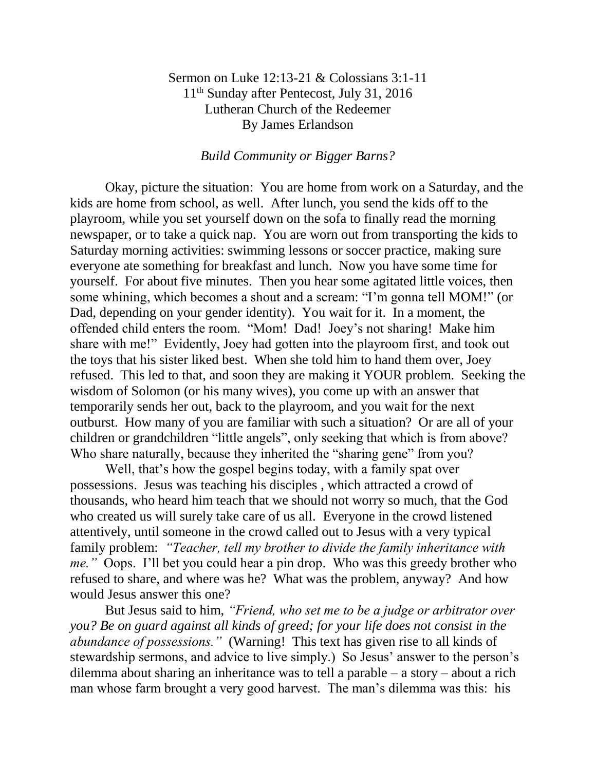## Sermon on Luke 12:13-21 & Colossians 3:1-11 11<sup>th</sup> Sunday after Pentecost, July 31, 2016 Lutheran Church of the Redeemer By James Erlandson

## *Build Community or Bigger Barns?*

Okay, picture the situation: You are home from work on a Saturday, and the kids are home from school, as well. After lunch, you send the kids off to the playroom, while you set yourself down on the sofa to finally read the morning newspaper, or to take a quick nap. You are worn out from transporting the kids to Saturday morning activities: swimming lessons or soccer practice, making sure everyone ate something for breakfast and lunch. Now you have some time for yourself. For about five minutes. Then you hear some agitated little voices, then some whining, which becomes a shout and a scream: "I'm gonna tell MOM!" (or Dad, depending on your gender identity). You wait for it. In a moment, the offended child enters the room. "Mom! Dad! Joey's not sharing! Make him share with me!" Evidently, Joey had gotten into the playroom first, and took out the toys that his sister liked best. When she told him to hand them over, Joey refused. This led to that, and soon they are making it YOUR problem. Seeking the wisdom of Solomon (or his many wives), you come up with an answer that temporarily sends her out, back to the playroom, and you wait for the next outburst. How many of you are familiar with such a situation? Or are all of your children or grandchildren "little angels", only seeking that which is from above? Who share naturally, because they inherited the "sharing gene" from you?

Well, that's how the gospel begins today, with a family spat over possessions. Jesus was teaching his disciples , which attracted a crowd of thousands, who heard him teach that we should not worry so much, that the God who created us will surely take care of us all. Everyone in the crowd listened attentively, until someone in the crowd called out to Jesus with a very typical family problem: *"Teacher, tell my brother to divide the family inheritance with me."* Oops. I'll bet you could hear a pin drop. Who was this greedy brother who refused to share, and where was he? What was the problem, anyway? And how would Jesus answer this one?

But Jesus said to him, *"Friend, who set me to be a judge or arbitrator over you? Be on guard against all kinds of greed; for your life does not consist in the abundance of possessions."* (Warning! This text has given rise to all kinds of stewardship sermons, and advice to live simply.) So Jesus' answer to the person's dilemma about sharing an inheritance was to tell a parable – a story – about a rich man whose farm brought a very good harvest. The man's dilemma was this: his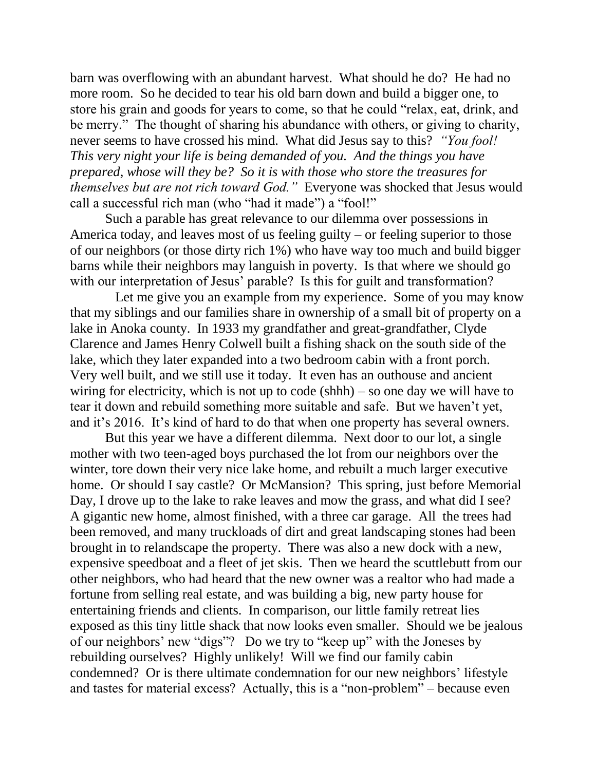barn was overflowing with an abundant harvest. What should he do? He had no more room. So he decided to tear his old barn down and build a bigger one, to store his grain and goods for years to come, so that he could "relax, eat, drink, and be merry." The thought of sharing his abundance with others, or giving to charity, never seems to have crossed his mind. What did Jesus say to this? *"You fool! This very night your life is being demanded of you. And the things you have prepared, whose will they be? So it is with those who store the treasures for themselves but are not rich toward God."* Everyone was shocked that Jesus would call a successful rich man (who "had it made") a "fool!"

Such a parable has great relevance to our dilemma over possessions in America today, and leaves most of us feeling guilty – or feeling superior to those of our neighbors (or those dirty rich 1%) who have way too much and build bigger barns while their neighbors may languish in poverty. Is that where we should go with our interpretation of Jesus' parable? Is this for guilt and transformation?

Let me give you an example from my experience. Some of you may know that my siblings and our families share in ownership of a small bit of property on a lake in Anoka county. In 1933 my grandfather and great-grandfather, Clyde Clarence and James Henry Colwell built a fishing shack on the south side of the lake, which they later expanded into a two bedroom cabin with a front porch. Very well built, and we still use it today. It even has an outhouse and ancient wiring for electricity, which is not up to code (shhh) – so one day we will have to tear it down and rebuild something more suitable and safe. But we haven't yet, and it's 2016. It's kind of hard to do that when one property has several owners.

But this year we have a different dilemma. Next door to our lot, a single mother with two teen-aged boys purchased the lot from our neighbors over the winter, tore down their very nice lake home, and rebuilt a much larger executive home. Or should I say castle? Or McMansion? This spring, just before Memorial Day, I drove up to the lake to rake leaves and mow the grass, and what did I see? A gigantic new home, almost finished, with a three car garage. All the trees had been removed, and many truckloads of dirt and great landscaping stones had been brought in to relandscape the property. There was also a new dock with a new, expensive speedboat and a fleet of jet skis. Then we heard the scuttlebutt from our other neighbors, who had heard that the new owner was a realtor who had made a fortune from selling real estate, and was building a big, new party house for entertaining friends and clients. In comparison, our little family retreat lies exposed as this tiny little shack that now looks even smaller. Should we be jealous of our neighbors' new "digs"? Do we try to "keep up" with the Joneses by rebuilding ourselves? Highly unlikely! Will we find our family cabin condemned? Or is there ultimate condemnation for our new neighbors' lifestyle and tastes for material excess? Actually, this is a "non-problem" – because even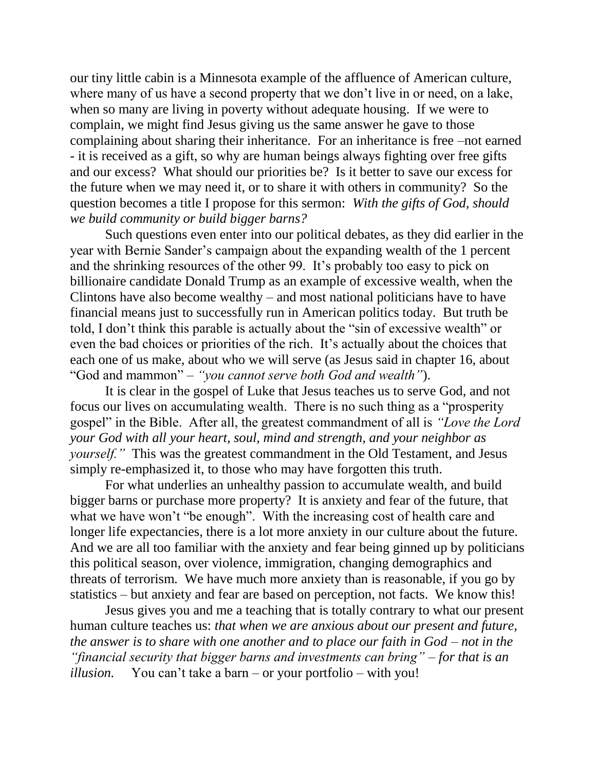our tiny little cabin is a Minnesota example of the affluence of American culture, where many of us have a second property that we don't live in or need, on a lake, when so many are living in poverty without adequate housing. If we were to complain, we might find Jesus giving us the same answer he gave to those complaining about sharing their inheritance. For an inheritance is free –not earned - it is received as a gift, so why are human beings always fighting over free gifts and our excess? What should our priorities be? Is it better to save our excess for the future when we may need it, or to share it with others in community? So the question becomes a title I propose for this sermon: *With the gifts of God, should we build community or build bigger barns?*

Such questions even enter into our political debates, as they did earlier in the year with Bernie Sander's campaign about the expanding wealth of the 1 percent and the shrinking resources of the other 99. It's probably too easy to pick on billionaire candidate Donald Trump as an example of excessive wealth, when the Clintons have also become wealthy – and most national politicians have to have financial means just to successfully run in American politics today. But truth be told, I don't think this parable is actually about the "sin of excessive wealth" or even the bad choices or priorities of the rich. It's actually about the choices that each one of us make, about who we will serve (as Jesus said in chapter 16, about "God and mammon" – *"you cannot serve both God and wealth"*).

It is clear in the gospel of Luke that Jesus teaches us to serve God, and not focus our lives on accumulating wealth. There is no such thing as a "prosperity gospel" in the Bible. After all, the greatest commandment of all is *"Love the Lord your God with all your heart, soul, mind and strength, and your neighbor as yourself.*" This was the greatest commandment in the Old Testament, and Jesus simply re-emphasized it, to those who may have forgotten this truth.

For what underlies an unhealthy passion to accumulate wealth, and build bigger barns or purchase more property? It is anxiety and fear of the future, that what we have won't "be enough". With the increasing cost of health care and longer life expectancies, there is a lot more anxiety in our culture about the future. And we are all too familiar with the anxiety and fear being ginned up by politicians this political season, over violence, immigration, changing demographics and threats of terrorism. We have much more anxiety than is reasonable, if you go by statistics – but anxiety and fear are based on perception, not facts. We know this!

Jesus gives you and me a teaching that is totally contrary to what our present human culture teaches us: *that when we are anxious about our present and future, the answer is to share with one another and to place our faith in God – not in the "financial security that bigger barns and investments can bring" – for that is an illusion.* You can't take a barn – or your portfolio – with you!